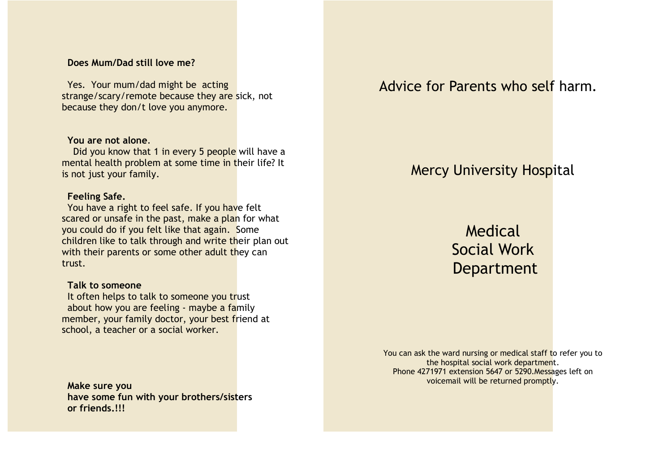### **Does Mum/Dad still love me?**

Yes. Your mum/dad might be acting strange/scary/remote because they are sick, not because they don/t love you anymore.

#### **You are not alone**.

Did you know that 1 in every 5 people will have a mental health problem at some time in their life? It is not just your family.

### **Feeling Safe.**

You have a right to feel safe. If you have felt scared or unsafe in the past, make a plan for what you could do if you felt like that again. Some children like to talk through and write their plan out with their parents or some other adult they can trust.

#### **Talk to someone**

It often helps to talk to someone you trust about how you are feeling - maybe a family member, your family doctor, your best friend at school, a teacher or a social worker.

**Make sure you have some fun with your brothers/sisters or friends.!!!**

Advice for Parents who self harm.

# Mercy University Hospital

Medical Social Work Department

You can ask the ward nursing or medical staff to refer you to the hospital social work department. Phone 4271971 extension 5647 or 5290.Messages left on voicemail will be returned promptly.